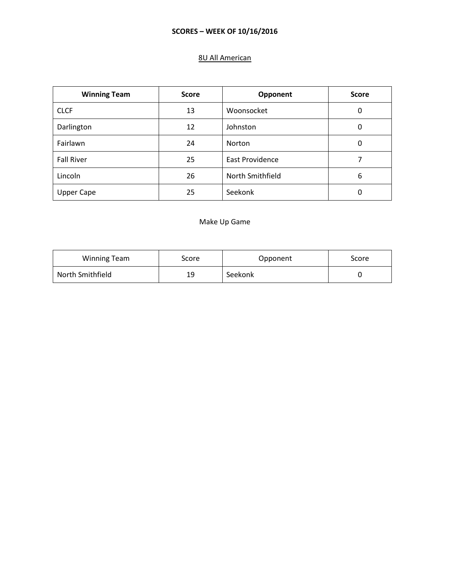# 8U All American

| <b>Winning Team</b> | <b>Score</b> | Opponent               | <b>Score</b> |
|---------------------|--------------|------------------------|--------------|
| <b>CLCF</b>         | 13           | Woonsocket             | 0            |
| Darlington          | 12           | Johnston               | 0            |
| Fairlawn            | 24           | Norton                 | 0            |
| <b>Fall River</b>   | 25           | <b>East Providence</b> |              |
| Lincoln             | 26           | North Smithfield       | 6            |
| <b>Upper Cape</b>   | 25           | Seekonk                | 0            |

#### Make Up Game

| <b>Winning Team</b> | score | Opponent | Score |
|---------------------|-------|----------|-------|
| North Smithfield    | 19    | Seekonk  |       |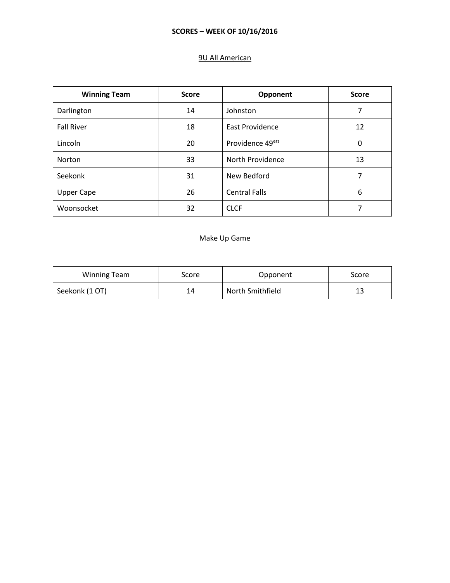# 9U All American

| <b>Winning Team</b> | <b>Score</b> | Opponent                     | <b>Score</b> |
|---------------------|--------------|------------------------------|--------------|
| Darlington          | 14           | Johnston                     | 7            |
| <b>Fall River</b>   | 18           | East Providence              | 12           |
| Lincoln             | 20           | Providence 49 <sup>ers</sup> | 0            |
| <b>Norton</b>       | 33           | North Providence             | 13           |
| Seekonk             | 31           | New Bedford                  | 7            |
| <b>Upper Cape</b>   | 26           | <b>Central Falls</b>         | 6            |
| Woonsocket          | 32           | <b>CLCF</b>                  | 7            |

### Make Up Game

| <b>Winning Team</b> | score | Opponent         | Score |
|---------------------|-------|------------------|-------|
| Seekonk (1 OT)      | 14    | North Smithfield | ر 1   |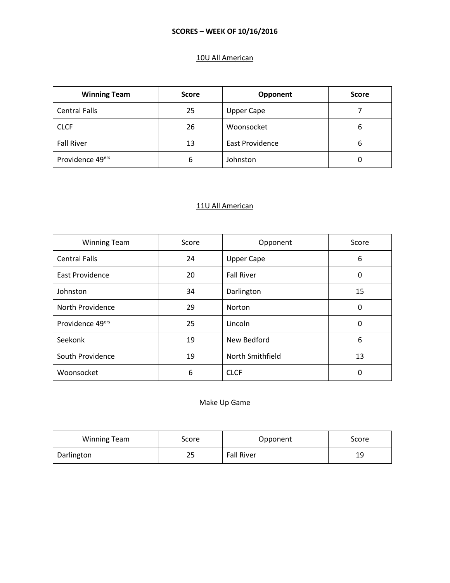# 10U All American

| <b>Winning Team</b>  | <b>Score</b> | Opponent          | <b>Score</b> |
|----------------------|--------------|-------------------|--------------|
| <b>Central Falls</b> | 25           | <b>Upper Cape</b> |              |
| <b>CLCF</b>          | 26           | Woonsocket        | 6            |
| <b>Fall River</b>    | 13           | East Providence   | 6            |
| Providence 49ers     | 6            | Johnston          |              |

#### 11U All American

| <b>Winning Team</b>    | Score | Opponent          | Score |
|------------------------|-------|-------------------|-------|
| <b>Central Falls</b>   | 24    | <b>Upper Cape</b> | 6     |
| <b>East Providence</b> | 20    | <b>Fall River</b> | 0     |
| Johnston               | 34    | Darlington        | 15    |
| North Providence       | 29    | Norton            | 0     |
| Providence 49ers       | 25    | Lincoln           | 0     |
| Seekonk                | 19    | New Bedford       | 6     |
| South Providence       | 19    | North Smithfield  | 13    |
| Woonsocket             | 6     | <b>CLCF</b>       | 0     |

# Make Up Game

| <b>Winning Team</b> | Score | Opponent          | Score |
|---------------------|-------|-------------------|-------|
| Darlington          | 25    | <b>Fall River</b> | 19    |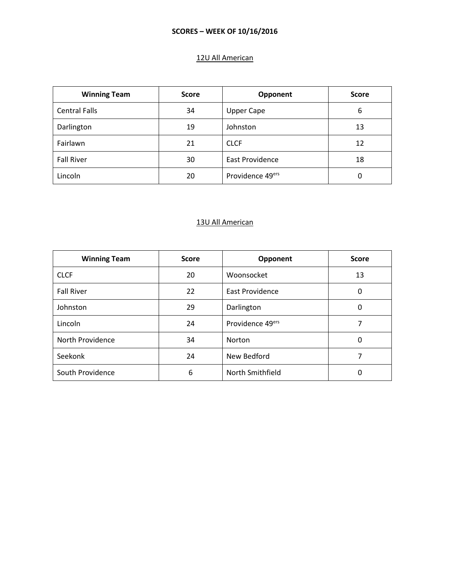# 12U All American

| <b>Winning Team</b>  | <b>Score</b> | Opponent          | <b>Score</b> |
|----------------------|--------------|-------------------|--------------|
| <b>Central Falls</b> | 34           | <b>Upper Cape</b> | 6            |
| Darlington           | 19           | Johnston          | 13           |
| Fairlawn             | 21           | <b>CLCF</b>       | 12           |
| <b>Fall River</b>    | 30           | East Providence   | 18           |
| Lincoln              | 20           | Providence 49ers  | 0            |

### 13U All American

| <b>Winning Team</b> | <b>Score</b> | Opponent                     | <b>Score</b> |
|---------------------|--------------|------------------------------|--------------|
| <b>CLCF</b>         | 20           | Woonsocket                   | 13           |
| <b>Fall River</b>   | 22           | East Providence              | 0            |
| Johnston            | 29           | Darlington                   | 0            |
| Lincoln             | 24           | Providence 49 <sup>ers</sup> |              |
| North Providence    | 34           | Norton                       | 0            |
| Seekonk             | 24           | New Bedford                  | 7            |
| South Providence    | 6            | North Smithfield             | 0            |